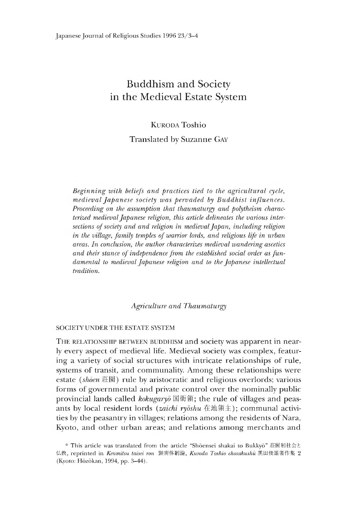# Buddhism and Society in the Medieval Estate System

# KURODA Toshio

# Translated by Suzanne Gay

*Beginning with beliefs and practices tied to the agricultural cycle, medieval Japanese society was pervaded by Buddhist influences.* Proceeding on the assumption that thaumaturgy and polytheism charac*terized medieval Japanese religion, this article delineates the various intersections of society and and religion in medieval Japan, including religion in the village, family temples of warrior lords, and religious life in urban areas. In conclusion, the author characterizes medieval wandering ascetics and their stance of independence from the established social order as fundamental to medieval Japanese religion and to the Japanese intellectual tradition.*

*Agriculture and Thaumaturgy*

### SOCIETY UNDER THE ESTATE SYSTEM

THE RELATIONSHIP BETWEEN BUDDHISM and society was apparent in nearly every aspect of medieval life. Medieval society was complex, featuring a variety of social structures with intricate relationships of rule, systems of transit, and communality. Among these relationships were estate ( $sh\bar{o}en$  荘園) rule by aristocratic and religious overlords; various forms of governmental and private control over the nominally public provincial lands called *kokugaryo* 国衙領; the rule of villages and peasants by local resident lords (*zaichi ryōshu* 在地領主); communal activities by the peasantry in villages; relations among the residents of Nara, Kyoto, and other urban areas; and relations among merchants and

<sup>\*</sup> This article was translated from the article "Shōensei shakai to Bukkyō" 荘園制社会と 仏教,reprinted in *Kenmitsu taisei ron* 顕密体制論,*Kuroda Toshio chosakushu* 黒田俊雄著作集 2 (Kvoto: Hozokan, 1994, pp. 3-44).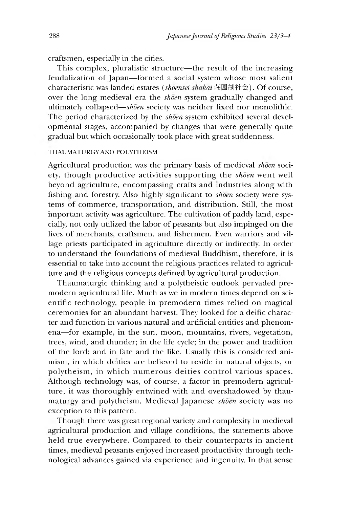craftsmen, especially in the cities.

This complex, pluralistic structure— the result of the increasing feudalization of Japan—formed a social system whose most salient characteristic was landed estates *(shoensei shakai* 荘園制社会). Of course, over the long medieval era the *shoen* system gradually changed and ultimately collapsed—shoen society was neither fixed nor monolithic. 1 he period characterized by the *shoen* system exhibited several developmental stages, accompanied by changes that were generally quite gradual but which occasionally took place with great suddenness.

### THAUMATURGY AND POLYTHEISM

Agricultural production was the primary basis of medieval *shoen* society, though productive activities supporting the *shoen* went well beyond agriculture, encompassing crafts and industries along with fishing and forestry. Also highly significant to *shoen* society were systems of commerce, transportation, and distribution. Still, the most important activity was agriculture. The cultivation of paddy land, especially, not only utilized the labor of peasants but also impinged on the lives of merchants, craftsmen, and fishermen. Even warriors and village priests participated in agriculture directly or indirectly. In order to understand the foundations of medieval Buddnism, therefore, it is essential to take into account the religious practices related to agriculture and the religious concepts defined by agricultural production.

Thaumaturgic thinking and a polytheistic outlook pervaded premodern agricultural life. Much as we in modern times depend on scientific technology, people in premodern times relied on magical ceremonies for an abundant harvest. They looked for a deific character and function in various natural and artificial entities and phenomena—for example, in the sun, moon, mountains, rivers, vegetation, trees, wind, and thunder; in the life cycle; in the power and tradition of the lord; and in fate and the like. Usually this is considered animism, in which deities are believed to reside in natural objects, or polytheism, in which numerous deities control various spaces. Although technology was, of course, a factor in premodern agriculture, it was thoroughly entwined with and overshadowed by thaumaturev and polytheism. Medieval Japanese *shoen* society was no exception to this pattern.

Though there was great regional variety and complexity in medieval agricultural production and village conditions, the statements above held true everywhere. Compared to their counterparts in ancient times, medieval peasants enjoyed increased productivity through technological advances gained via experience and ingenuity. In that sense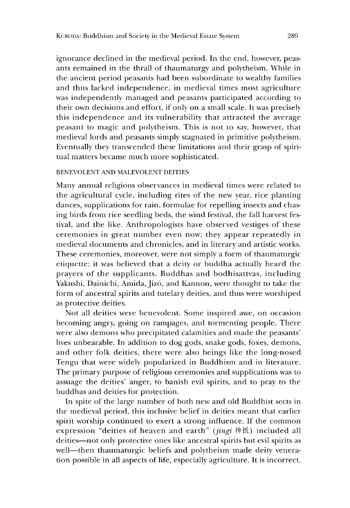ignorance declined in the medieval period. In the end, however, peasants remained in the thrall of thaumaturgy and polytheism. While in the ancient period peasants had been subordinate to wealthy families and thus lacked independence, in medieval times most agriculture was independently managed and peasants participated according to their own decisions and effort, if only on a small scale. It was precisely this independence and its vulnerability that attracted the average peasant to magic and polytheism. This is not to say, however, that medieval lords and peasants simply stagnated in primitive polytheism. Eventually they transcended these limitations and their grasp of spiritual matters became much more sophisticated.

### BENEVOLENT AND MALEVOLENT DEITIES

Many annual religious observances in medieval times were related to the agricultural cycle, including rites of the new year, rice planting dances, supplications for rain, formulae for repelling insects and chasing birds from rice seedling beds, the wind festival, the fall harvest festival, and the like. Anthropologists have observed vestiges of these ceremonies in great number even now; they appear repeatedly in medieval documents and chronicles, and in literary and artistic works. These ceremonies, moreover, were not simply a form of thaumaturgic etiquette: it was believed that a deity or buddha actually heard the prayers of the supplicants. Buddhas and bodhisattvas, including Yakushi, Dainichi, Amida, Jizo, and Kannon, were thought to take the form of ancestral spirits and tutelary deities, and thus were worshiped as protective deities.

Not all deities were benevolent. Some inspired awe, on occasion becoming angry, going on rampages, and tormenting people. There were also demons who precipitated calamities and made the peasants' lives unbearable. In addition to dog gods, snake gods, foxes, demons, and other folk deities, there were also beings like the long-nosed Tengu that were widely popularized in Buddhism and in literature. The primary purpose of religious ceremonies and supplications was to assuage the deities' anger, to banish evil spirits, and to pray to the buddhas and deities for protection.

In spite of the large number of both new and old Buddhist sects in the medieval period, this inclusive belief in deities meant that earlier spirit worship continued to exert a strong influence. If the common expression "deities of heaven and earth" *(jingi* 神祇)included all deities-not only protective ones like ancestral spirits but evil spirits as well—then thaumaturgic beliefs and polytheism made deity veneration possible in all aspects of life, especially agriculture. It is incorrect,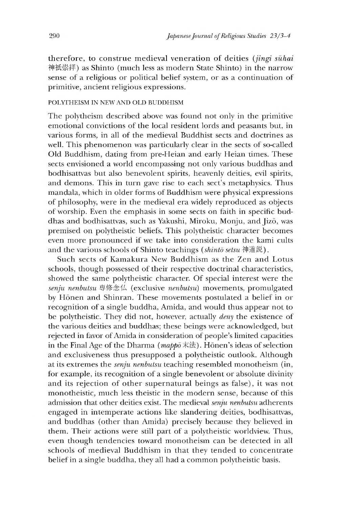therefore, to construe medieval veneration of deities *(jingi suhai* 神祇崇拝) as Shinto (much less as modern State Shinto) in the narrow sense of a religious or political belief system, or as a continuation of primitive, ancient religious expressions.

### POLYTHEISM IN NEW AND OLD BUDDHISM

Ihe polytheism described above was found not only in the primitive emotional convictions of the local resident lords and peasants but, in various forms, in all of the medieval Buddhist sects and doctrines as well. Ihis phenomenon was particularly clear in the sects of so-called Old Buddhism, dating from pre-Heian and early Heian times. These sects envisioned a world encompassine not only various buddhas and bodhisattvas but also benevolent spirits, heavenly deities, evil spirits, and demons. This in turn gave rise to each sect's metaphysics. Thus mandala, which in older forms of Buddhism were physical expressions of philosophy, were in the medieval era widely reproduced as objects of worship. Even the emphasis in some sects on faith in specific buddhas and bodhisattvas, such as Yakusni, Miroku, Monju, and Jizo, was premised on polytheistic beliefs. This polytheistic character becomes even more pronounced if we take into consideration the kami cults and the various schools of Shinto teachings *(shinto setsu* 神道説).

Such sects of Kamakura New Buddhism as the Zen and Lotus schools, though possessed of their respective doctrinal characteristics, showed the same polytheistic character. Of special interest were the senju nenbutsu 専修念仏 (exclusive *nenbutsu*) movements, promulgated by Honen and Shinran. These movements postulated a belief in or recognition of a single buddha, Amida, and would thus appear not to be polytheistic. They did not, however, actually *deny* the existence of the various deities and buddhas; these beings were acknowledged, but rejected in favor of Amida in consideration of people's limited capacities in the Final Age of the Dharma *(mappo*末法). Honen's ideas of selection and exclusiveness thus presupposed a polytheistic outlook. Although at its extremes the *senju nenbutsu* teaching resembled monotheism (in, for example, its recognition of a single benevolent or absolute divinity and its rejection of other supernatural beings as false), it was not monotheistic, much less theistic in the modern sense, because of this admission that other deities exist. The medieval *senju nenbutsu* adherents engaged m intemperate actions like slandering deities, bodhisattvas, and buddhas (other than Amida) precisely because they believed in them. Their actions were still part of a polytheistic worldview. Thus, even though tendencies toward monotheism can be detected in all schools of medieval Buddhism in that they tended to concentrate belief in a single buddha, they all had a common polytheistic basis.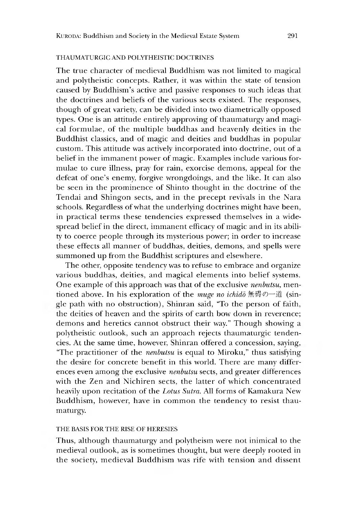### THAUMATURGIC AND POLYTHEISTIC DOCTRINES

The true character of medieval Buddhism was not limited to magical and polytheistic concepts. Rather, it was within the state of tension caused by Buddhism's active and passive responses to such ideas that the doctrines and beliefs of the various sects existed. The responses, though of great variety, can be divided into two diametrically opposed types. One is an attitude entirely approving of thaumaturgy and magical formulae, of the multiple buddhas and heavenly deities in the Buddhist classics, and of magic and deities and buddhas in popular custom. This attitude was actively incorporated into doctrine, out of a belief in the immanent power of magic. Examples include various formulae to cure illness, pray for rain, exorcise demons, appeal for the defeat of one's enemy, forgive wrongdoings, and the like. It can also be seen in the prominence of Shinto thought in the doctrine of the Tendai and Shingon sects, and in the precept revivals in the Nara schools. Regardless of what the underlying doctrines might have been, in practical terms these tendencies expressed themselves in a widespread belief in the direct, immanent efficacy of magic and in its ability to coerce people through its mysterious power; in order to increase these effects all manner of buddhas, deities, demons, and spells were summoned up from the Buddhist scriptures and elsewhere.

The other, opposite tendency was to refuse to embrace and organize various buddhas, deities, and magical elements into belief systems. One example of this approach was that of the exclusive *nenbutsu,* mentioned above. In his exploration of the *muge no ichido* 無碍の一道 (single path with no obstruction), shinran said, "To the person of faith, the deities of heaven and the spirits of earth bow down in reverence; demons and heretics cannot obstruct their way." Though showing a polytheistic outlook, such an approach rejects thaumaturgic tendencies. At the same time, however, shinran offered a concession, saying. "The practitioner of the *nenbutsu* is equal to Miroku," thus satisfying the desire for concrete benefit in this world. Ihere are many differences even among the exclusive *nenbutsu* sects, and greater differences with the Zen and Nichiren sects, the latter of which concentrated heavily upon recitation of the *Lotus Sutra.* All forms of Kamakura New Buddhism, however, have in common the tendency to resist thaumaturgy.

### THE BASIS FOR THE RISE OF HERESIES

Thus, although thaumaturgy and polytheism were not inimical to the medieval outlook, as is sometimes thought, but were deeply rooted in the society, medieval Buddhism was rife with tension and dissent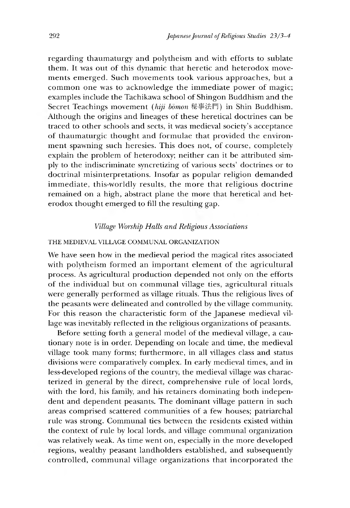regarding thaumaturgy and polytheism and with efforts to sublate them. It was out of this dynamic that heretic and heterodox movements emerged. Such movements took various approaches, but a common one was to acknowledge the immediate power of magic; examples include the Tachikawa school of Shingon Buddhism and the Secret Teachings movement *(hiji bomon* 秘事法門) in Shin Buddhism. Although the origins and lineages of these heretical doctrines can be traced to other schools and sects, it was medieval society's acceptance of thaumaturgic thought and formulae that provided the environment spawning such heresies. This does not, of course, completely explain the problem of heterodoxy; neither can it be attributed simply to the indiscriminate syncretizing of various sects' doctrines or to doctrinal misinterpretations. Insofar as popular religion demanded immediate, this-worldly results, the more that religious doctrine remained on a hieh, abstract plane the more that heretical and heterodox thought emerged to fill the resulting gap.

### *Village Worship Halls and Religious Associations*

### THE MEDIEVAL VILLAGE COMMUNAL ORGANIZATION

We have seen how in the medieval period the magical rites associated with polytheism formed an important element of the agricultural process. As agricultural production depended not only on the efforts of the individual but on communal village ties, agricultural rituals were generally performed as village rituals. Thus the religious lives of the peasants were delineated and controlled by the village community. For this reason the characteristic form of the Japanese medieval village was inevitably reflected in the religious organizations of peasants.

Before setting forth a general model of the medieval village, a cautionary note is in order. Depending on locale and time, the medieval village took many forms; furthermore, in all villages class and status divisions were comparatively complex. In early medieval times, and in less-developed regions of the country, the medieval village was characterized in general by the direct, comprehensive rule of local lords, with the lord, his family, and his retainers dominating both independent and dependent peasants. The dominant village pattern in such areas comprised scattered communities of a few houses; patriarchal rule was strong. Communal ties between the residents existed within the context of rule by local lords, and village communal organization was relatively weak. As time went on, especially in the more developed regions, wealthy peasant landholders established, and subsequently controlled, communal village organizations that incorporated the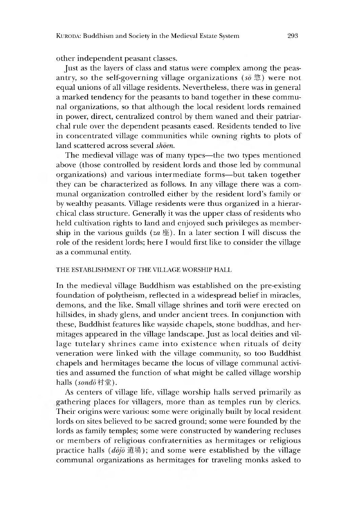other independent peasant classes.

Just as the layers of class and status were complex among the peasantry, so the self-governing village organizations  $(s\bar{o} \, \n\overset{\circ}{\otimes} \, \n\overset{\circ}{\otimes} \, \n\overset{\circ}{\otimes} \,$  were not equal unions of all village residents. Nevertheless, there was in general a marked tendency for the peasants to band together in these communal organizations, so that although the local resident lords remained in power, direct, centralized control by them waned and their patriarchal rule over the dependent peasants eased. Residents tended to live in concentrated village communities while owning rights to plots of land scattered across several *shoen.*

The medieval village was of many types—the two types mentioned above (those controlled by resident lords and those led by communal organizations) and various intermediate forms—but taken together they can be characterized as follows. In any village there was a communal organization controlled either by the resident lord's family or by wealthy peasants. Village residents were thus organized in a hierarchical class structure. Generally it was the upper class of residents who held cultivation rights to land and enjoyed such privileges as membership in the various guilds  $(za \nsubseteq)$ . In a later section I will discuss the role of the resident lords; here I would first like to consider the village as a communal entity.

### THE ESTABLISHMENT OF THE VILLAGE WORSHIP HALL

In the medieval village Buddhism was established on the pre-existing foundation of polytheism, reflected in a widespread belief in miracles, demons, and the like. Small village shrines and torii were erected on hillsides, in shady glens, and under ancient trees. In conjunction with these, Buddnist features like wayside chapels, stone buddhas, and hermitages appeared in the village landscape. Just as local deities and village tutelary shrines came into existence when rituals of deity veneration were linked with the village community, so too Buddhist chapels and hermitages became the locus of village communal activities and assumed the function of what might be called village worship halls (sondo 村堂).

As centers of village life, village worship halls served primarily as gathering places for villagers, more than as temples run by clerics. 1 heir origins were various: some were originally built by local resident lords on sites believed to be sacred ground; some were founded by the lords as family temples; some were constructed by wandering recluses or members of religious confraternities as hermitages or religious practice halls (*dojo* 道場); and some were established by the village communal organizations as hermitages for traveling monks asked to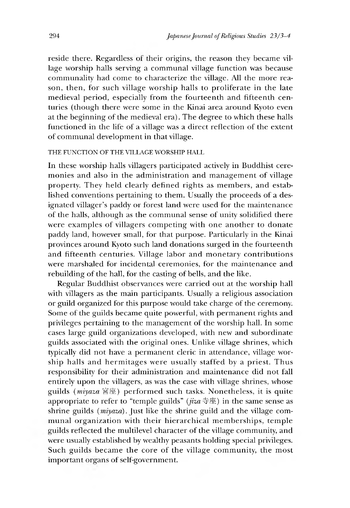reside there. Regardless of their origins, the reason they became village worship halls serving a communal village function was because communality had come to characterize the village. All the more reason, then, for such village worship halls to proliferate in the late medieval period, especially from the fourteenth and fifteenth centuries (though there were some in the Kinai area around Kyoto even at the beginning of the medieval era). The degree to which these halls functioned in the life of a village was a direct reflection of the extent of communal development in that village.

### THE FUNCTION OF THE VILLAGE WORSHIP HALL

In these worship halls villagers participated actively in Buddhist ceremonies and also in the administration and management of village property. They held clearly defined rights as members, and established conventions pertaining to them. Usually the proceeds of a designated villager's paddy or forest land were used for the maintenance of the halls, although as the communal sense of unity solidified there were examples of villagers competing with one another to donate paddy land, however small, for that purpose. Particularly in the Kinai provinces around Kyoto such land donations surged in the fourteenth and fifteenth centuries. Village labor and monetary contributions were marshaled for incidental ceremonies, for the maintenance and rebuilding of the hall, for the casting of bells, and the like.

Regular Buddhist observances were carried out at the worship hall with villagers as the main participants. Usually a religious association or guild organized for this purpose would take charge of the ceremony. Some of the guilds became quite powerful, with permanent rights and privileges pertaining to the management of the worship hall. In some cases large guild organizations developed, with new and subordinate guilds associated with the original ones. Unlike village shrines, which typically did not have a permanent cleric in attendance, village worship halls and hermitages were usually staffed by a priest. Thus responsibility for their administration and maintenance did not fall entirely upon the villagers, as was the case with village shrines, whose guilds *(miyaza* 宮座) performed such tasks. Nonetheless, it is quite appropriate to refer to "temple guilds" *(jiza 寺座*) in the same sense as shrine guilds *{miyaza).* Just like the shrine guild and the village communal organization with their hierarchical memberships, temple guilds reflected the multilevel character of the village community, and were usually established by wealthy peasants holding special privileges. Such guilds became the core of the village community, the most important organs of self-government.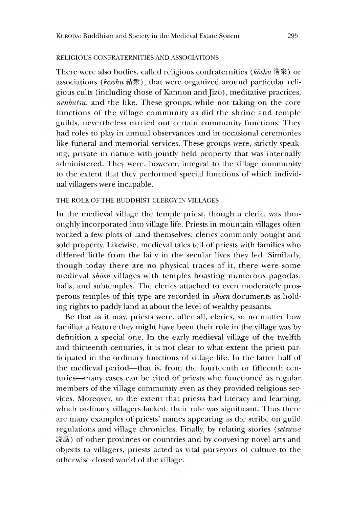#### RELIGIOUS CONFRATERNITIES AND ASSOCIATIONS

There were also bodies, called religious confraternities (koshu 講衆) or associations *(kesshu* 結衆), that were organized around particular religious cults (including those of Kannon and Jizo), meditative practices, *nenbutsu,* and the like. These groups, while not taking on the core functions of the village community as did the shrine and temple guilds, nevertheless carried out certain community functions. Ihey had roles to play in annual observances and in occasional ceremonies like funeral and memorial services. These groups were, strictly speaking, private in nature with jointly held property that was internally administered. They were, however, integral to the village community to the extent that they performed special functions of which individual villagers were incapable.

### THE ROLE OF THE BUDDHIST CLERGY IN VILLAGES

In the medieval village the temple priest, though a cleric, was thoroughly incorporated into village life. Priests in mountain villages often worked a few plots of land themselves; clerics commonly bought and sold property. Likewise, medieval tales tell of priests with families who differed little from the laity in the secular lives they led. Similarly, though today there are no physical traces of it, there were some medieval *shoen* villages with temples boasting numerous pagodas, halls, and subtemples. The clerics attached to even moderately prosperous temples of this type are recorded in *shoen* documents as holding rights to paddy land at about the level of wealthy peasants.

Be that as it may, priests were, after all, clerics, so no matter how familiar a feature they might have been their role in the village was by definition a special one. In the early medieval village of the twelfth and thirteenth centuries, it is not clear to what extent the priest participated in the ordinary functions of village life. In the latter half of the medieval period— that is, from the fourteenth or fifteenth centuries—many cases can be cited of priests who functioned as regular members of the village community even as they provided religious services. Moreover, to the extent that priests had literacy and learning, which ordinary villagers lacked, their role was significant. Thus there are many examples of priests' names appearing as the scribe on guild regulations and village chronicles. Finally, by relating stories *(setsuwa* 説話) of other provinces or countries and by conveying novel arts and objects to villagers, priests acted as vital purveyors of culture to the otherwise closed world of the village.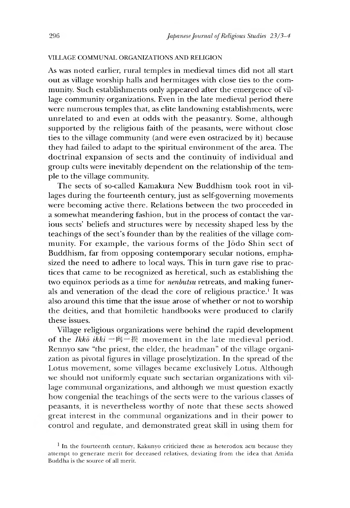### VILLAGE COMMUNAL ORGANIZATIONS AND RELIGION

As was noted earlier, rural temples in medieval times did not all start out as village worship halls and hermitages with close ties to the community. Such establishments only appeared after the emergence of village community organizations. Even in the late medieval period there were numerous temples that, as elite landowning establishments, were unrelated to and even at odds with the peasantry. Some, although supported by the religious faith of the peasants, were without close ties to the village community (and were even ostracized by it) because they had failed to adapt to the spiritual environment of the area. The doctrinal expansion of sects and the continuity of individual and group cults were inevitably dependent on the relationship of the temple to the village community.

The sects of so-called Kamakura New Buddhism took root in villages during the fourteenth century, just as self-governing movements were becoming active there. Relations between the two proceeded in a somewhat meandering fashion, but in the process of contact the various sects' beliefs and structures were by necessity shaped less by the teachings of the sect's founder than by the realities of the village community. For example, the various forms of the Jodo Shin sect of Buddhism, far from opposing contemporary secular notions, emphasized the need to adhere to local ways. This in turn gave rise to practices that came to be recognized as heretical, such as establishing the two equinox periods as a time for *nenbutsu* retreats, and making funerals and veneration of the dead the core of religious practice.<sup>1</sup> It was also around this time that the issue arose of whether or not to worship the deities, and that homiletic handbooks were produced to clarify these issues.

Village religious organizations were behind the rapid development of the  $Ikk\bar{o}$  ikki  $-\bar{m} - \frac{16}{16}$  movement in the late medieval period. Rennyo saw "the priest, the elder, the headman" of the village organization as pivotal figures in village proselytization. In the spread of the Lotus movement, some villages became exclusively Lotus. Although we should not uniformly equate such sectarian organizations with village communal organizations, and although we must question exactly how congenial the teachings of the sects were to the various classes of peasants, it is nevertheless worthy of note that these sects showed great interest in the communal organizations and in their power to control and regulate, and demonstrated great skill in using them for

 $<sup>1</sup>$  In the fourteenth century, Kakunyo criticized these as heterodox acts because they</sup> attempt to generate merit for deceased relatives, deviating from the idea that Amida Buddha is the source of all merit.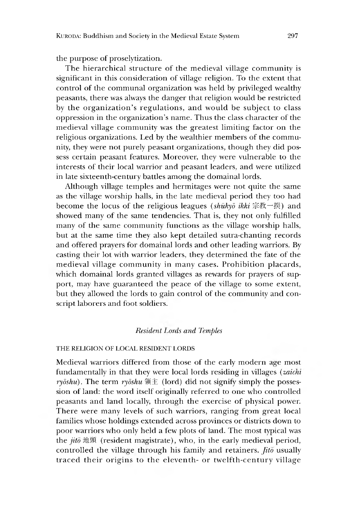the purpose of proselytization.

The hierarchical structure of the medieval village community is significant in this consideration of village religion. To the extent that control of the communal organization was held by privileged wealthy peasants, there was always the danger that religion would be restricted by the organization's regulations, and would be subject to class oppression in the organization's name. Thus the class character of the medieval village community was the greatest limiting factor on the religious organizations. Led by the wealthier members of the community, they were not purely peasant organizations, though they did possess certain peasant features. Moreover, they were vulnerable to the interests of their local warrior and peasant leaders, and were utilized in late sixteenth-century battles among the domainal lords.

Although village temples and hermitages were not quite the same as the village worship halls, in the late medieval period they too had become the locus of the religious leagues *(shukyo ikki* 宗教一揆) and showed many of the same tendencies. That is, they not only fulfilled many of the same community functions as the village worship halls, but at the same time they also kept detailed sutra-chanting records and offered prayers for domainal lords and other leading warriors. By casting their lot with warrior leaders, they determined the fate of the medieval village community in many cases. Prohibition placards, which domainal lords granted villages as rewards for prayers of support, may have guaranteed the peace of the village to some extent, but they allowed the lords to gain control of the community and conscript laborers and foot soldiers.

### *Resident Lords and Temples*

#### THE RELIGION OF LOCAL RESIDENT LORDS

Medieval warriors differed from those of the early modern age most fundamentally in that they were local lords residing in villages *(zaicm*  $r\gamma\bar{o}shu$ ). The term  $r\gamma\bar{o}shu$  領主 (lord) did not signify simply the possession of land: the word itself originally referred to one who controlled peasants and land locally, through the exercise of physical power. Ihere were many levels of such warriors, ranging from great local families whose holdings extended across provinces or districts down to poor warriors who only held a few plots of land. The most typical was the *jitō* 地頭 (resident magistrate), who, in the early medieval period, controlled the village through his family and retainers. *Jito* usually traced their origins to the eleventh- or twelfth-century village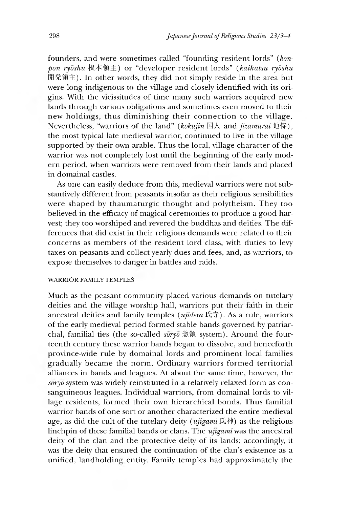founders, and were sometimes called "founding resident lords" *(konpon rydshu* 根本領主) or "developer resident lords" (*kaihatsu rydshu* 開発領主). In other words, they did not simply reside in the area but were long indigenous to the village and closely identified with its origins. With the vicissitudes of time many such warriors acquired new lands through various obligations and sometimes even moved to their new holdings, thus diminishing their connection to the village. Nevertheless, "warriors of the land" *(kokujin* 国人 and *jizamurai* 地侍), the most typical late medieval warrior, continued to live in the village supported by their own arable. Thus the local, village character of the warrior was not completely lost until the beginning of the early modern period,when warriors were removed from their lands and placed in domainal castles.

As one can easily deduce from this, medieval warriors were not substantively different from peasants insofar as their religious sensibilities were shaped by thaumaturgic thought and polytheism. They too believed in the efficacy of magical ceremonies to produce a good harvest; they too worshiped and revered the buddhas and deities. The differences that did exist in their religious demands were related to their concerns as members of the resident lord class, with duties to levy taxes on peasants and collect yearly dues and fees, and, as warriors, to expose themselves to daneer in battles and raids.

### WARRIOR FAMILY TEMPLES

Much as the peasant community placed various demands on tutelary deities and the village worship hall, warriors put their faith in their ancestral deities and family temples *(ujidera* 氏寺) .As a rule, warriors of the early medieval period formed stable bands governed by patriarchal, familial ties (the so-called *soryo* 想領 system). Around the fourteenth century these warrior bands began to dissolve, and henceforth province-wide rule by domainal lords and prominent local families gradually became the norm. Ordinary warriors formed territorial alliances in bands and leagues. At about the same time, however, the *soryo* system was widely reinstituted m a relatively relaxed form as consanguineous leagues. Individual warriors, from domainal lords to village residents, formed their own hierarchical bonds. Thus familial warrior bands of one sort or another characterized the entire medieval age, as did the cult of the tutelary deity *(ujigami* 氏神) as the religious linchpin of these familial bands or clans. The *ujtgami* was the ancestral deity of the clan and the protective deity of its lands; accordingly, it was the deity that ensured the continuation of the clan's existence as a unified, landholding entity. Family temples had approximately the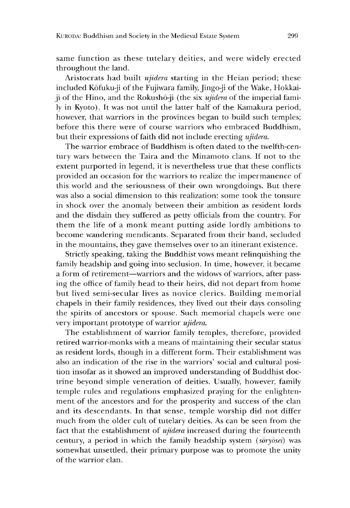same function as these tutelary deities, and were widely erected throughout the land.

Aristocrats had built *ujidera* starting in the Heian period; these included Kofuku-ji of the Fujiwara family Jingo-ji of the Wake, Hokkaiji of the Hino, and the Rokusho-ji (the six *ujidera* of the imperial family in Kyoto). It was not until the latter half of the Kamakura period, however, that warriors in the provinces began to build such temples; before this there were of course warriors who embraced Buddhism, but their expressions of faith did not include erecting *ujidera.*

The warrior embrace of Buddhism is often dated to the twelfth-century wars between the Taira and the Minamoto clans. If not to the extent purported in legend, it is nevertheless true that these conflicts provided an occasion for the warriors to realize the impermanence of this world and the seriousness of their own wrongdoings. But there was also a social dimension to this realization: some took the tonsure in shock over the anomaly between their ambition as resident lords and the disdain they suffered as petty officials from the country. For them the life of a monk meant putting aside lordly amoitions to become wandering mendicants. Separated from their band, secluded in the mountains, they gave themselves over to an itinerant existence.

Strictly speaking, taking the Buddhist vows meant relinquishing the family headship and going into seclusion. In time, however, it became a form of retirement—warriors and the widows of warriors, after passing the office of family head to their heirs, did not depart from home but lived semi-secular lives as novice clerics. Building memorial chapels in their family residences, they lived out their days consoling the spirits of ancestors or spouse. Such memorial chapels were one very important prototype of warrior *ujidera.*

The establishment of warrior family temples, therefore, provided retired warrior-monks with a means of maintaining their secular status as resident lords, though in a different form. Their establishment was also an indication of the rise in the warriors' social and cultural position insofar as it showed an improved understanding of Buddhist doctrine beyond simple veneration of deities. Usually, however, family temple rules and regulations emphasized praying for the enlightenment of the ancestors and for the prosperity and success of the clan and its descendants. In that sense, temple worship did not differ much from the older cult of tutelary deities. As can be seen from the fact that the establishment of *ujidera* increased during the fourteenth century, a period in which the family headship system *(soryosei)* was somewhat unsettled, their primary purpose was to promote the unity of the warrior clan.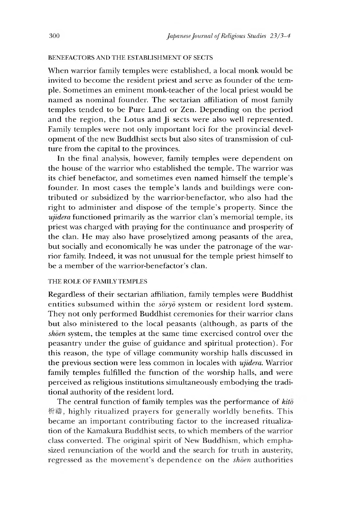### BENEFACTORS AND THE ESTABLISHMENT OF SECTS

When warrior family temples were established, a local monk would be invited to become the resident priest and serve as founder of the temple. Sometimes an eminent monk-teacher of the local priest would be named as nominal founder. The sectarian affiliation of most family temples tended to be Pure Land or Zen. Depending on the period and the region, the Lotus and Ji sects were also well represented. Family temples were not only important loci for the provincial development of the new Buddhist sects but also sites of transmission of culture from the capital to the provinces.

In the final analysis, however, family temples were dependent on the house of the warrior who established the temple. The warrior was its chief benefactor, and sometimes even named himself the temple's founder. In most cases the temple's lands and buildings were contributed or subsidized by the warrior-benefactor, who also had the right to administer and dispose of the temple's property. Since the *ujidera* functioned primarily as the warrior clan's memorial temple, its priest was charged with praying for the continuance and prosperity of the clan. He may also have proselytized among peasants of the area, but socially and economically he was under the patronage of the warrior family. Indeed, it was not unusual for the temple priest himself to be a member of the warrior-benefactor's clan.

### THE ROLE OF FAMILY TEMPLES

Regardless of their sectarian affiliation, family temples were Buddhist entities subsumed within the *soryo* system or resident lord system. They not only performed Buddhist ceremonies for their warrior clans but also ministered to the local peasants (although, as parts of the *shoen* system, the temples at the same time exercised control over the peasantry under the guise of guidance and spiritual protection). For this reason, the type of village community worship halls discussed in the previous section were less common in locales with *ujidera.* Warrior family temples fulfilled the function of the worship halls, and were perceived as religious institutions simultaneously embodying the traditional authority of the resident lord.

The central function of family temples was the performance of *kito* 祈禱,highly ritualized prayers for generally worldly benefits. This became an important contributing factor to the increased ritualization of the Kamakura Buddhist sects, to which members of the warrior class converted. The original spirit of New Buddhism, which emphasized renunciation of the world and the search for truth in austerity, regressed as the movement's dependence on the *shoen* authorities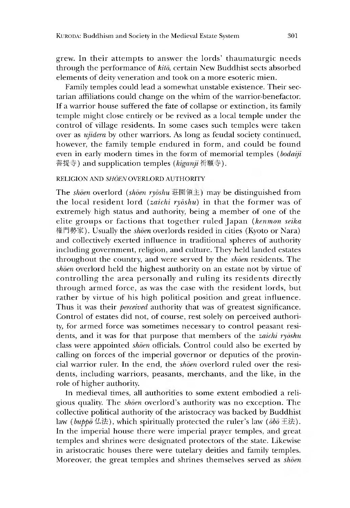grew. In their attempts to answer the lords' thaumaturgic needs through the performance of *kito,* certain New Buddhist sects absorbed elements of deity veneration and took on a more esoteric mien.

Family temples could lead a somewhat unstable existence. Their sectarian affiliations could change on the whim of the warrior-benefactor. If a warrior house suffered the fate of collapse or extinction, its family temple might close entirely or be revived as a local temple under the control of village residents. In some cases such temples were taken over as *ujidera* by other warriors. As long as feudal society continued, however, the family temple endured in form, and could be found even in early modern times in the form of memorial temples *(bodaiji* 菩提寺) and supplication temples (kiganji 祈願寺).

### RELIGION AND *SHOEN*OVERLORD AUTHORITY

The *shoen* overlord *(shoen ryoshu* 荘園領主) may be distinguished from the local resident lord *(zaichi rydshu)* in that the former was of extremely high status and authority, being a member of one of the elite groups or factions that together ruled Japan *(kenmon seika* 権門勢家). Usually the *shoen* overlords resided in cities (Kyoto or Nara) and collectively exerted influence in traditional spheres of authority including government, religion, and culture. They held landed estates throughout the country, and were served by the *shoen* residents. The *shoen* overlord held the highest authority on an estate not by virtue of controlling the area personally and ruling its residents directly through armed force, as was the case with the resident lords, but rather by virtue of his high political position and great influence. Thus it was their *perceived* authority that was of greatest significance. Control of estates did not, of course, rest solely on perceived authority, for armed force was sometimes necessary to control peasant residents, and it was for that purpose that members of the *zaichi rydshu* class were appointed *shoen* officials. Control could also be exerted by calling on forces of the imperial governor or deputies of the provincial warrior ruler. In the end, the *shoen* overlord ruled over the residents, including warriors, peasants, merchants, and the like, in the role of higher authority.

In medieval times, all authorities to some extent embodied a religious quality. The *shoen* overlord's authority was no exception. The collective political authority of the aristocracy was backed by Buddhist law *(buppo* 仏法),which spiritually protected the ruler's law *(obo* 王法). In the imperial house there were imperial prayer temples, and great temples and shrines were designated protectors of the state. Likewise in aristocratic houses there were tutelary deities and family temples. Moreover, the great temples and shrines themselves served as *shoen*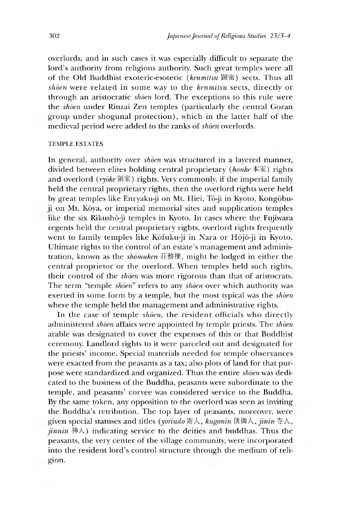overlords, and in such cases it was especially difficult to separate the lord's authority from religious authority. Such great temples were all of the Old Buddhist exoteric-esoteric *(kenmitsu* 顕密) sects. Thus all *shoen* were related in some way to the *kenmitsu* sects, directly or through an aristocratic *shoen* lord. The exceptions to this rule were the *shoen* under Rinzai Zen temples (particularly the central Gozan group under shogunal protection), which in the latter half of the medieval period were added to the ranks of *shoen* overlords.

### TEMPLE ESTATES

In general, authority over *shoen* was structured in a layered manner, divided between elites holding central proprietary *(honke* 本家) rights and overlord *(ryōke* 領家) rights. Very commonly, if the imperial family held the central proprietary rights, then the overlord rights were held by great temples like Enryaku-ji on Mt. Hiei, To-ji in Kyoto, Kongobuji on Mt. Koya, or imperial memorial sites and supplication temples like the six Rikusho-ji temples in Kyoto. In cases where the Fujiwara regents held the central proprietary rights, overlord rights frequently went to family temples like Kofuku-ji in Nara or Hojo-ji m Kyoto. Ultimate rights to the control of an estate's management and administration, known as the *shōmuken* 荘務権, might be lodged in either the central proprietor or the overlord. When temples held such rights, their control of the *shoen* was more rigorous than that of aristocrats. The term "temple *shoen'* refers to any *shoen* over which authority was exerted in some form by a temple, but the most typical was the *shoen* where the temple held the management and administrative rights.

In the case of temple *shoen,* the resident officials who directly administered *shoen* affairs were appointed by temple priests. The *shoen* arable was designated to cover the expenses of this or that Buddhist ceremony. Landlord rights to it were parceled out and designated for the priests' income. Special materials needed for temple observances were exacted from the peasants as a tax; also plots of land for that purpose were standardized and organized. Thus the entire *shoen* was dedicated to the business of the Buddha, peasants were subordinate to the temple, and peasants' corvee was considered service to the Buddha. By the same token, any opposition to the overlord was seen as inviting the Buddha's retribution. The top layer of peasants, moreover, were given special statuses and titles (yoriudo 寄人, kugonin 供御人, jinin 寺人, *jinnin* ネ申人) indicating service to the deities and buddhas. Thus the peasants, the very center of the village community, were incorporated into the resident lord's control structure through the medium of religion.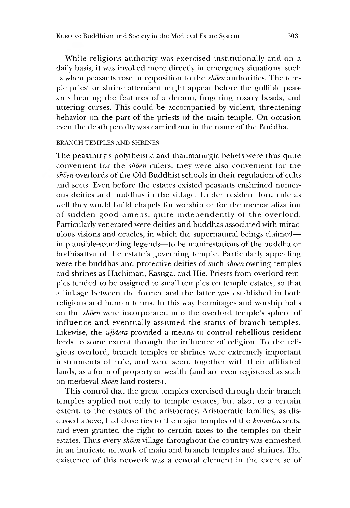While religious authority was exercised institutionally and on a daily basis, it was invoked more directly in emergency situations, such as when peasants rose in opposition to the *shoen* authorities. The temple priest or shrine attendant might appear before the gullible peasants bearing the features of a demon, fingering rosary beads, and uttering curses. Ihis could be accompanied by violent, threatening behavior on the part of the priests of the main temple. On occasion even the death penalty was carried out in the name of the Buddha.

### BRANCH TEMPLES AND SHRINES

The peasantry's polytheistic and thaumaturgic beliefs were thus quite convenient for the *shoen* rulers; they were also convenient for the *shoen* overlords of the Old Buddhist schools in their regulation of cults and sects. Even before the estates existed peasants enshrined numerous deities and buddhas in the village. Under resident lord rule as well they would build chapels for worship or for the memorialization of sudden good omens, quite independently of the overlord. Particularly venerated were deities and buddhas associated with miraculous visions and oracles, in which the supernatural beings claimed in plausible-sounding legends—to be manifestations of the buddha or bodhisattva of the estate's governing temple. Particularly appealing were the buddhas and protective deities of such *shoen-owning* temples and shrines as Hachiman, Kasuga, and Hie. Priests from overlord temples tended to be assigned to small temples on temple estates, so that a linkage between the former and the latter was established in both religious and human terms. In this way hermitages and worship halls on the *shoen* were incorporated into the overlord temple's sphere of influence and eventually assumed the status of branch temples. Likewise, the *ujidera* provided a means to control rebellious resident lords to some extent through the influence of religion. To the religious overlord, branch temples or shrines were extremely important instruments of rule, and were seen, together with their affiliated lands, as a form of property or wealth (and are even registered as such on medieval *shoen* land rosters).

This control that the great temples exercised through their branch temples applied not only to temple estates, but also, to a certain extent, to the estates of the aristocracy. Aristocratic families, as discussed above, had close ties to the major temples of the *kenmitsu* sects, and even granted the right to certain taxes to the temples on their estates. Thus every *shoen* village throughout the country was enmeshed in an intricate network of main and branch temples and shrines. The existence of this network was a central element in the exercise of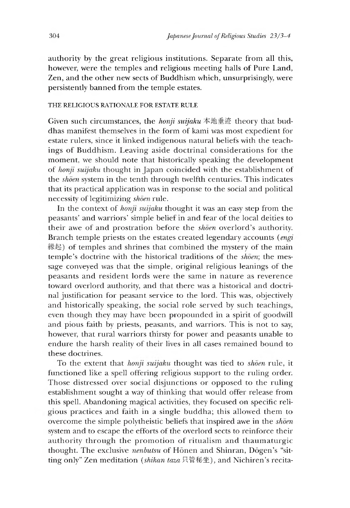authority by the great religious institutions. Separate from all this, however, were the temples and religious meeting halls of Pure Land, Zen, and the other new sects of Buddhism which, unsurprisingly, were persistently banned from the temple estates.

### THE RELIGIOUS RATIONALE FOR ESTATE RULE

Given such circumstances, the *honji suijaku* 本地垂迹 theory that buddhas manifest themselves in the form of kami was most expedient for estate rulers, since it linked indigenous natural beliefs with the teachings of Buddhism. Leaving aside doctrinal considerations for the moment, we should note that historically speaking the development of *honji suijaku* thought in Japan coincided with the establishment of the *shoen* system in the tenth through twelfth centuries. This indicates that its practical application was in response to the social and political necessity of legitimizing *shoen* rule.

In the context of *honji suijaku* thought it was an easy step from the peasants' and warriors' simple belief in and fear of the local deities to their awe of and prostration before the *shoen* overlord's authority. Branch temple priests on the estates created legendary accounts *(engi* 縁起)of temples and shrines that combined the mystery of the main temple's doctrine with the historical traditions of the *shoen;* the message conveyed was that the simple, original religious leanings of the peasants and resident lords were the same in nature as reverence toward overlord authority, and that there was a historical and doctrinal justification for peasant service to the lord. This was, objectively and historically speaking, the social role served by such teachings, even though they may have been propounded in a spirit of goodwill and pious faith by priests, peasants, and warriors. This is not to say, however, that rural warriors thirsty for power and peasants unable to endure the harsh reality of their lives in all cases remained bound to these doctrines.

To the extent that *honji suijaku* thought was tied to *shoen* rule, it functioned like a spell offering religious support to the ruling order. Ihose distressed over social disjunctions or opposed to the ruling establishment sought a way of thinking that would offer release from this spell. Abandoning magical activities, they focused on specific religious practices and faith in a single buddha; this allowed them to overcome the simple polytheistic beliefs that inspired awe in the *shoen* system and to escape the efforts of the overlord sects to reinforce their authority through the promotion of ritualism and thaumaturgic thought. The exclusive *nenbutsu* of Honen and Shinran, Dogen's "sitting only" Zen meditation *(shikan taza* 只管秘坐), and Nichiren's recita-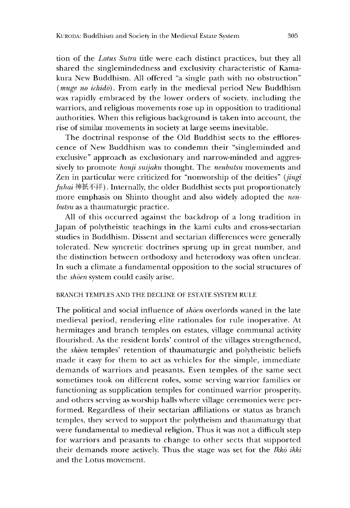tion of the *Lotus Sutra* title were each distinct practices, but they all shared the singlemindedness and exclusivity characteristic of Kamakura New Buddhism. All offered "a single path with no obstruction" *(muge no ichidd).* From early in the medieval period New Buddhism was rapidly embraced by the lower orders of society, including the warriors, and religious movements rose up in opposition to traditional authorities. When this religious background is taken into account, the rise of similar movements in society at large seems inevitable.

The doctrinal response of the Old Buddhist sects to the efflorescence of New Buddhism was to condemn their "singleminded and exclusive" approach as exclusionary and narrow-minded and aggressively to promote *honji suijaku* thought. The *nenbutsu* movements and Zen in particular were criticized for "nonworship of the deities" *{jingi* fuhai 神祇不拝). Internally, the older Buddhist sects put proportionately more emphasis on Sninto thought and also widely adopted the *nenbutsu* as a thaumaturgic practice.

All of this occurred against the backdrop of a long tradition in Japan of polytheistic teachings in the kami cults and cross-sectarian studies in Buddhism. Dissent and sectarian differences were generally tolerated. New syncretic doctrines sprung up in great number, and the distinction between orthodoxy and heterodoxy was often unclear. In such a climate a fundamental opposition to the social structures of the *shoen* system could easily arise.

### BRANCH TEMPLES AND THE DECLINE OF ESTATE SYSTEM RULE

The political and social influence of *shoen* overlords waned in the late medieval period, rendering elite rationales for rule inoperative. At hermitages and branch temples on estates, village communal activity flourished. As the resident lords' control of the villages strengthened, the *shoen* temples' retention of thaumaturgic and polytheistic beliefs made it easy for them to act as vehicles for the simple, immediate demands of warriors and peasants. Even temples of the same sect sometimes took on different roles, some serving warrior families or functioning as supplication temples for continued warrior prosperity, and others serving as worship halls where village ceremonies were performed. Regardless of their sectarian affiliations or status as branch temples, they served to support the polytheism and thaumaturgy that were fundamental to medieval religion. Thus it was not a difficult step for warriors and peasants to change to other sects that supported their demands more actively. Thus the stage was set for the *Ikko ikki* and the Lotus movement.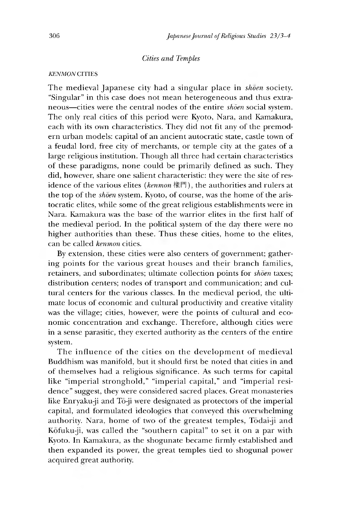### *Cities and Temples*

## *KENMON CITIES*

The medieval Japanese city had a singular place in *shoen* society. "Singular" in this case does not mean heterogeneous and thus extraneous—cities were the central nodes of the entire *shoen* social system. The only real cities of this period were Kyoto, Nara, and Kamakura, each with its own characteristics. They did not fit any of the premodern urban models: capital of an ancient autocratic state, castle town of a feudal lord, free city of merchants, or temple city at the gates of a large religious institution. Though all three had certain characteristics of these paradigms, none could be primarily defined as such. They did, however, share one salient characteristic: they were the site of residence of the various elites ( $\textit{kenmon}$  権門), the authorities and rulers at the top of the *shoen* system. Kyoto, of course, was the home of the aristocratic elites, while some of the great religious establishments were in Nara. Kamakura was the base of the warrior elites in the first half of the medieval period. In the political system of the day there were no hieher authorities than these. Ihus these cities, home to the elites, can be called *kenmon* cities.

By extension, these cities were also centers of government; gathering points for the various great houses and their branch families, retainers, and subordinates; ultimate collection points for *shoen* taxes; distribution centers; nodes of transport and communication; and cultural centers for the various classes. In the medieval period, the ultimate locus of economic and cultural productivity and creative vitality was the village; cities, however, were the points of cultural and economic concentration and exchange. Therefore, although cities were in a sense parasitic, they exerted authority as the centers of the entire system.

The influence of the cities on the development of medieval Buddhism was manifold, but it should first be noted that cities in and of themselves had a religious significance. As such terms for capital like "imperial stronghold," "imperial capital," and "imperial residence" suggest, they were considered sacred places. Great monasteries like Enryaku-ji and To-ji were designated as protectors of the imperial capital, and formulated ideologies that conveyed this overwhelming authority. Nara, home of two of the greatest temples, Todai-ji and Kofuku-ji, was called the "southern capital" to set it on a par with Kyoto. In Kamakura, as the shogunate became firmly established and then expanded its power, the great temples tied to shogunal power acquired ereat authority.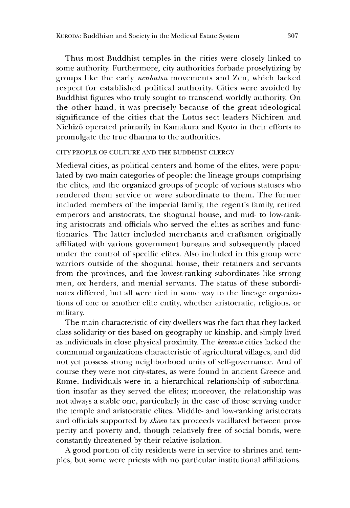Thus most Buddhist temples in the cities were closely linked to some authority. Furthermore, city authorities forbade proselytizing by groups like the early *nenbutsu* movements and Zen, which lacked respect for established political authority. Cities were avoided by Buddhist figures who truly sought to transcend worldly authority. On the other hand, it was precisely because of the great ideological significance of the cities that the Lotus sect leaders Nichiren and Nichizo operated primarily in Kamakura and Kyoto in their efforts to promulgate the true dharma to the authorities.

### CITY PEOPLE OF CULTURE AND THE BUDDHIST CLERGY

Medieval cities, as political centers and home of the elites, were populated by two main categories of people: the lineage groups comprising the elites, and the organized groups of people of various statuses who rendered them service or were subordinate to them. The former included members of the imperial family, the regent's family, retired emperors and aristocrats, the shogunal house, and mid- to low-ranking aristocrats and officials who served the elites as scribes and functionaries. The latter included merchants and craftsmen originally affiliated with various government bureaus and subsequently placed under the control of specific elites. Also included in this group were warriors outside of the shogunal house, their retainers and servants from the provinces, and the lowest-ranking subordinates like strong men, ox herders, and menial servants. The status of these subordinates differed, but all were tied in some way to the lineage organizations of one or another elite entity, whether aristocratic, religious, or military.

The main characteristic of city dwellers was the fact that they lacked class solidarity or ties based on geography or kinship, and simply lived as individuals in close physical proximity. The *kenmom* cities lacked the communal organizations characteristic of agricultural villages, and did not yet possess strong neighborhood units of self-governance. And of course they were not city-states, as were found in ancient Greece and Rome. Individuals were in a hierarchical relationship of subordination insofar as they served the elites; moreover, the relationship was not always a stable one, particularly in the case of those serving under the temple and aristocratic elites. Middle- and low-ranking aristocrats and officials supported by *shoen* tax proceeds vacillated between prosperity and poverty and, though relatively free of social bonds, were constantly threatened by their relative isolation.

A good portion of city residents were in service to shrines and temples, but some were priests with no particular institutional affiliations.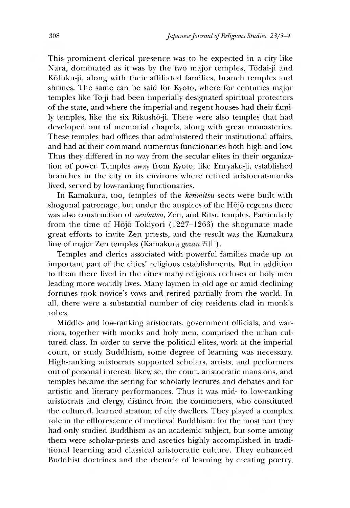Ihis prominent clerical presence was to be expected in a city like Nara, dominated as it was by the two major temples, Todai-ji and Kofuku-ji, along with their affiliated families, branch temples and shrines. The same can be said for Kyoto, where for centuries major temples like To-ji had been imperially designated spiritual protectors of the state, and where the imperial and regent houses had their family temples, like the six Rikushō-ji. There were also temples that had developed out of memorial chapels, along with great monasteries. These temples had offices that administered their institutional affairs, and had at their command numerous functionaries both high and low. Thus they differed in no way from the secular elites in their organization of power. Temples away from Kyoto, like Enryaku-ji, established branches in the city or its environs where retired aristocrat-monks lived, served by low-ranking functionaries.

In Kamakura, too, temples of the *kenmitsu* sects were built with shogunal patronage, but under the auspices of the Hojo regents there was also construction of *nenbutsu,* Zen, and Ritsu temples. Particularly from the time of Hojo Tokiyori (1227-1263) the shogunate made great efforts to invite Zen priests, and the result was the Kamakura line of major Zen temples (Kamakura gozan  $\text{H(1)}$ ).

Temples and clerics associated with powerful families made up an important part of the cities' religious establishments. But in addition to them there lived in the cities many religious recluses or holy men leading more worldly lives. Many laymen in old age or amid declining fortunes took novice's vows and retired partially from the world. In all, there were a substantial number of city residents clad in monk's robes.

Middle- and low-ranking aristocrats, government officials, and warriors, together with monks and holy men, comprised the urban cultured class. In order to serve the political elites, work at the imperial court, or study Buddhism, some degree of learning was necessary. High-ranking aristocrats supported scholars, artists, and performers out of personal interest; likewise, the court, aristocratic mansions, and temples became the setting for scholarly lectures and debates and for artistic and literary performances. Thus it was mid- to low-ranking aristocrats and clergy, distinct from the commoners, who constituted the cultured, learned stratum of city dwellers. They played a complex role in the efflorescence of medieval Buddhism: for the most part they had only studied Buddhism as an academic subject, but some among them were scholar-priests and ascetics highly accomplished in traditional learning and classical aristocratic culture. Ihey enhanced Buddhist doctrines and the rhetoric of learning by creatine poetry,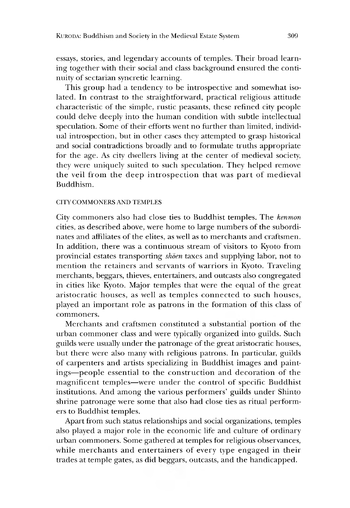essays, stories, and legendary accounts of temples. Their broad learning together with their social and class background ensured the continuity of sectarian syncretic learning.

This group had a tendency to be introspective and somewhat isolated. In contrast to the straightforward, practical religious attitude characteristic of the simple, rustic peasants, these refined city people could delve deeply into the human condition with subtle intellectual speculation. Some of their efforts went no further than limited, individual introspection, but in other cases they attempted to grasp historical and social contradictions broadly and to formulate truths appropriate for the age. As city dwellers living at the center of medieval society, they were uniquely suited to such speculation. They helped remove the veil from the deep introspection that was part of medieval Buddhism.

### CITY COMMONERS AND TEMPLES

City commoners also had close ties to Buddhist temples. The *kenmon* cities, as described above, were home to large numbers of the subordinates and affiliates of the elites, as well as to merchants and craftsmen. In addition, there was a continuous stream of visitors to Kyoto from provincial estates transporting *shoen* taxes and supplying labor, not to mention the retainers and servants of warriors in Kyoto. Traveling merchants, beggars, thieves, entertainers, and outcasts also congregated in cities like Kyoto. Major temples that were the equal of the great aristocratic houses, as well as temples connected to such houses, played an important role as patrons in the formation of this class of commoners.

Merchants and craftsmen constituted a substantial portion of the urban commoner class and were typically organized into guilds. Such guilds were usually under the patronage of the great aristocratic houses, but there were also many with religious patrons. In particular, guilds of carpenters and artists specializing in Buddhist images and paintings—people essential to the construction and decoration of the magnificent temples—were under the control of specific Buddhist institutions. And among the various performers' guilds under Shinto shrine patronage were some that also had close ties as ritual performers to Buddhist temples.

Apart from such status relationships and social organizations, temples also played a major role in the economic life and culture of ordinary urban commoners. Some gathered at temples for religious observances, while merchants and entertainers of every type engaged in their trades at temple gates, as did beggars, outcasts, and the handicapped.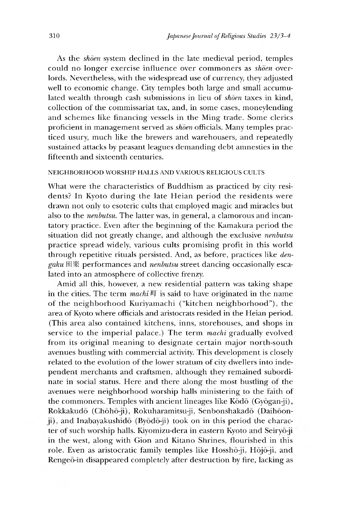As the *shoen* system declined in the late medieval period, temples could no longer exercise influence over commoners as *shoen* overlords. Nevertheless, with the widespread use of currency, they adjusted well to economic change. City temples both large and small accumulated wealth through cash submissions in lieu of *shoen* taxes in kind, collection of the commissariat tax, and, in some cases, moneylending and schemes like financing vessels in the Ming trade. Some clerics proficient in management served as *shoen* officials. Many temples practiced usury, much like the brewers and warehousers, and repeatedly sustained attacks by peasant leagues demanding debt amnesties in the fifteenth and sixteenth centuries.

### NEIGHBORHOOD WORSHIP HALLS AND VARIOUS RELIGIOUS CULTS

What were the characteristics of Buddhism as practiced by city residents? In Kyoto during the late Heian period the residents were drawn not only to esoteric cults that employed magic and miracles but also to the *nenbutsu*. The latter was, in general, a clamorous and incantatory practice. Even after the beginning of the Kamakura period the situation did not greatly change, and although the exclusive *nenbutsu* practice spread widely, various cults promising profit in this world through repetitive rituals persisted. And, as before, practices like *dengaku* 田楽 performances and *nenbutsu* street dancing occasionally escalated into an atmosphere of collective frenzy.

Amid all this, however, a new residential pattern was taking shape in the cities. The term *machi* 町 is said to have originated in the name of the neighborhood Kuriyamachi ("kitchen neighborhood"), the area of Kyoto where officials and aristocrats resided in the Heian period. (This area also contained kitchens, inns, storehouses, and shops in service to the imperial palace.) The term *machi* gradually evolved from its original meaning to designate certain major north-south avenues bustling with commercial activity. This development is closely related to the evolution of the lower stratum of city dwellers into independent merchants and craftsmen, although they remained subordinate in social status. Here and there along the most bustling of the avenues were neighborhood worship halls ministering to the raith of the commoners. Temples with ancient lineages like Kodo (Gyogan-ji), Rokkakudo (Choho-jij, Rokuharamitsu-ji, Senbonshakado (Daihoonji), and Inabayakushidō (Byōdō-ji) took on in this period the character of such worship halls. Kiyomizu-dera in eastern Kyoto and Seiryo-ji in the west, along with Gion and Kitano Shrines, flourished in this role. Even as aristocratic family temples like Hosshō-ji, Hōjō-ji, and Rengeō-in disappeared completely after destruction by fire, lacking as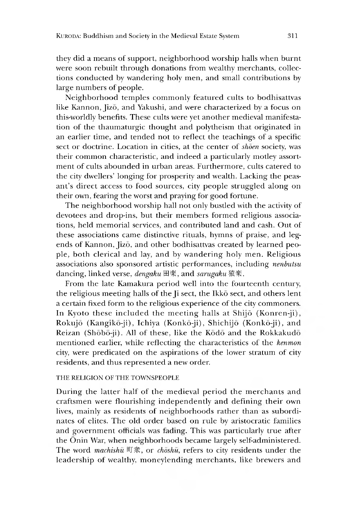they did a means of support, neighborhood worship halls when burnt were soon rebuilt through donations from wealthy merchants, collections conducted by wandering holy men, and small contributions by large numbers of people.

Neighborhood temples commonly featured cults to bodhisattvas like Kannon, Jizo, and Yakushi, and were characterized by a focus on this-worldly benefits. These cults were yet another medieval manifestation of the thaumaturgic thought and polytheism that originated in an earlier time, and tended not to reflect the teachings of a specific sect or doctrine. Location in cities, at the center of *shoen* society, was their common characteristic, and indeed a particularly motley assortment of cults abounded in urban areas. Furthermore, cults catered to the city dwellers' longing for prosperity and wealth. Lacking the peasant's direct access to food sources, city people struggled along on their own, fearing the worst and praying for good fortune.

The neighborhood worship hall not only bustled with the activity of devotees and drop-ins, but their members formed religious associations, held memorial services, and contributed land and cash. Out of these associations came distinctive rituals, hymns of praise, and legends of Kannon, Jizo, and other bodhisattvas created by learned people, both clerical and lay, and by wandering holy men. Religious associations also sponsored artistic performances, including *nenbutsu* dancing, linked verse, *dengaku* 田楽, and *sarugaku* 猿楽.

From the late Kamakura period well into the fourteenth century, the religious meeting halls of the Ji sect, the Ikko sect, and others lent a certain fixed form to the religious experience of the city commoners. In Kyoto these included the meeting halls at Shijō (Konren-ji), Rokujo (Kangiko-ji), Ichiya (Konko-ji), Shichijo (Konko-ji), and Reizan (Shōbō-ji). All of these, like the Kodō and the Rokkakudō mentioned earlier, while reflecting the characteristics of the *kenmon* city, were predicated on the aspirations of the lower stratum of city residents, and thus represented a new order.

### THE RELIGION OF THE TOWNSPEOPLE

During the latter half of the medieval period the merchants and craftsmen were flourishing independently and defining their own lives, mainly as residents of neighborhoods rather than as subordinates of elites. The old order based on rule by aristocratic families and government officials was fadine. This was particularly true after the Onin War, when neighborhoods became largely self-administered. The word *machishu* 町衆, or *choshu*, refers to city residents under the leadership of wealthy, moneylendine merchants, like brewers and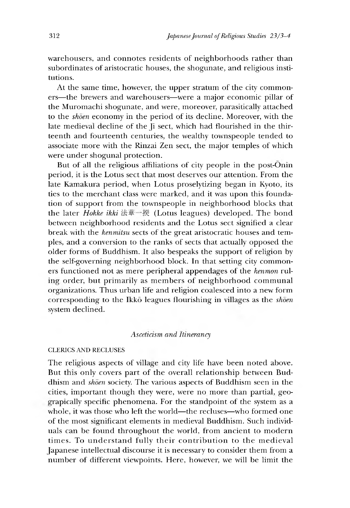warehousers, and connotes residents of neighborhoods rather than subordinates of aristocratic houses, the shogunate, and religious institutions.

At the same time, however, the upper stratum of the city commoners—the brewers and warehousers—were a major economic pillar of the Muromachi shogunate, and were, moreover, parasitically attached to the *shoen* economy in the period of its decline. Moreover, with the late medieval decline of the Ji sect, which had flourished in the thirteenth and fourteenth centuries, the wealthy townspeople tended to associate more with the Rinzai Zen sect, the major temples of which were under shogunal protection.

But of all the religious affiliations of city people in the post-Onin period, it is the Lotus sect that most deserves our attention. From the late Kamakura period, when Lotus proselytizing began in Kyoto, its ties to the merchant class were marked, and it was upon this foundation of support from the townspeople in neighborhood blocks that the later *Hokke ikki* 法華一揆 (Lotus leagues) developed. The bond between neighborhood residents and the Lotus sect signified a clear break with the *kenmitsu* sects of the great aristocratic houses and temples, and a conversion to the ranks of sects that actually opposed the older forms of Buddhism. It also bespeaks the support of religion by the self-governing neighborhood block. In that setting city commoners functioned not as mere peripheral appendages of the *kenmon* ruling' order, but primarily as members of neighborhood communal organizations. Thus urban life and religion coalesced into a new form corresponding to the Ikko leagues flourishing in villages as the *shoen* system declined.

### *Asceticism and Itinerancy*

#### CLERICS AND RECLUSES

The religious aspects of village and city life have been noted above. But this only covers part of the overall relationship between Buddhism and *shoen* society. The various aspects of Buddhism seen in the cities, important though they were, were no more than partial, geograpically specific phenomena. For the standpoint of the system as a whole, it was those who left the world—the recluses—who formed one of the most significant elements in medieval Buddhism. Such individuals can be found throughout the world, from ancient to modern times. To understand fully their contribution to the medieval Japanese intellectual discourse it is necessary to consider them from a number of different viewpoints. Here, however, we will be limit the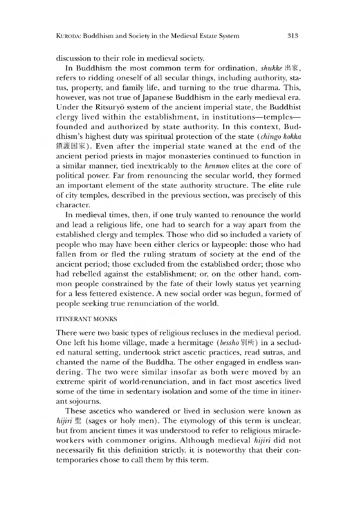discussion to their role in medieval society.

In Buddhism the most common term for ordination, *shukke* 出家, refers to ridding oneself of all secular things, including authority, status, property, and family life, and turning to the true dharma. This, however, was not true of Japanese Buddhism in the early medieval era. Under the Ritsuryo system of the ancient imperial state, the Buddhist clergy lived within the establishment, in institutions— temples founded and authorized by state authority. In this context, Buddhism's highest duty was spiritual protection of the state *(chingo kokka*) 鎮護国家). Even after the imperial state waned at the end of the ancient period priests in major monasteries continued to function in a similar manner, tied inextricably to the *kenmon* elites at the core of political power. Far from renouncing the secular world, they formed an important element of the state authority structure. The elite rule of city temples, described in the previous section, was precisely of this character.

In medieval times, then, if one truly wanted to renounce the world and lead a religious life, one had to search for a way apart from the established clergy and temples. Those who did so included a variety of people who may have been either clerics or laypeople: those who had fallen from or fled the ruling stratum of society at the end of the ancient period; those excluded from the established order; those who had rebelled against the establishment; or, on the other hand, common people constrained by the fate of their lowly status yet yearning for a less fettered existence. A new social order was begun, formed of people seeking true renunciation of the world.

#### ITINERANT MONKS

There were two basic types of religious recluses in the medieval period. One left his home village, made a hermitage *(bessho* 別所) in a secluded natural setting, undertook strict ascetic practices, read sutras, and chanted the name of the Buddha. The other engaged in endless wandering. The two were similar insofar as both were moved by an extreme spirit of world-renunciation, and in fact most ascetics lived some of the time in sedentary isolation and some of the time in itinerant sojourns.

These ascetics who wandered or lived in seclusion were known as *hijin* 聖 (sages or holy men). The etymology of this term is unclear, but from ancient times it was understood to refer to religious miracleworkers with commoner origins. Although medieval *hijin* did not necessarily fit this definition strictly, it is noteworthy that their contemporaries chose to call them by this term.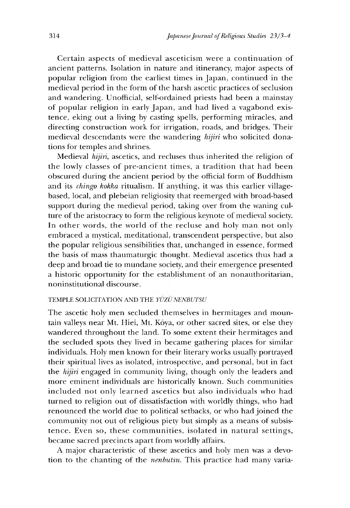Certain aspects of medieval asceticism were a continuation of ancient patterns. Isolation in nature and itinerancy, major aspects of popular religion from the earliest times in Japan, continued in the medieval period in the form of the harsh ascetic practices of seclusion and wandering. Unofficial, self-ordained priests had been a mainstay of popular religion in early Japan, and had lived a vagabond existence, eking out a living by casting spells, performing miracles, and directing construction work for irrigation, roads, and bridges. Their medieval descendants were the wandering *hijiri* who solicited donations for temples and shrines.

Medieval *hijiri,* ascetics, and recluses thus inherited the religion of the lowly classes of pre-ancient times, a tradition that had been obscured during the ancient period by the official form of Buddhism and its *chingo kokka* ritualism. If anything, it was this earlier villagebased, local, and plebeian religiosity that reemerged with broad-based support during the medieval period, taking over from the waning culture of the aristocracy to form the religious keynote of medieval society. In other words, the world of the recluse and holy man not only embraced a mystical, meditational, transcendent perspective, but also the popular religious sensibilities that, unchanged in essence, formed the basis of mass thaumaturgic thought. Medieval ascetics thus had a deep and broad tie to mundane society, and their emergence presented a historic opportunity for the establishment of an nonauthoritarian, noninstitutional discourse.

### TEMPLE SOLICITATION AND THE *YUZUNENBUTSU*

The ascetic holy men secluded themselves in hermitages and mountain valleys near Mt. Hiei, Mt. Koya, or other sacred sites, or else they wandered throughout the land. To some extent their hermitages and the secluded spots they lived in became gathering places for similar individuals. Holy men known for their literary works usually portrayed their spiritual lives as isolated, introspective, and personal, but in fact the *hijin* engaged in community living, though only the leaders and more eminent individuals are historically known. Such communities included not only learned ascetics but also individuals who had turned to religion out of dissatisfaction with worldly things, who had renounced the world due to political setbacks, or who had joined the community not out of religious piety but simply as a means of subsistence. Even so, these communities, isolated in natural settings, became sacred precincts apart from worldly affairs.

A major characteristic of these ascetics and holy men was a devotion to the chanting of the *nenbutsu.* This practice had many varia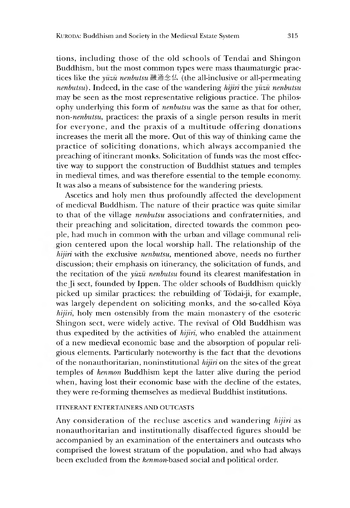tions, including those of the old schools of Tendai and Shingon Buddhism, but the most common types were mass thaumaturgic practices like the *yūzū nenbutsu* 融通念仏 (the all-inclusive or all-permeating *nenbutsu).* Indeed, in the case of the wanderine *hijin* the *yuzu nenbutsu* may be seen as the most representative religious practice. The philosophy underlying this form of *nenbutsu* was the same as that for other, *non-nenbutsu*, practices: the praxis of a single person results in merit for everyone, and the praxis of a multitude offering donations increases the merit all the more. Out of this way of thinking came the practice of soliciting donations, which always accompanied the preaching of itinerant monks. Solicitation of funds was the most effective way to support the construction of Buddhist statues and temples in medieval times, and was therefore essential to the temple economy. It was also a means of subsistence for the wandering priests.

Ascetics and holy men thus profoundly affected the development of medieval Buddhism. Ihe nature of their practice was quite similar to that of the village *nenbutsu* associations and confraternities, and their preaching and solicitation, directed towards the common people, had much in common with the urban and village communal religion centered upon the local worship hall. The relationship of the *hijin* with the exclusive *nenbutsu,* mentioned above, needs no further discussion; their emphasis on itinerancy, the solicitation of funds, and the recitation of the *yuzu nenbutsu* found its clearest manifestation in the Ji sect, founded by Ippen. The older schools of Buddhism quickly picked up similar practices: the rebuilding of Todai-ji, for example, was largely dependent on soliciting monks, and the so-called Koya *hijin,* holy men ostensibly from the main monastery of the esoteric Shingon sect, were widely active. The revival of Old Buddhism was thus expedited by the activities of *hijiri*, who enabled the attainment of a new medieval economic base and the absorption of popular religious elements. Particularly noteworthy is the fact that the devotions of the nonauthoritarian, noninstitutional *hijiri* on the sites of the great temples of *kenmon* Buddhism kept the latter alive during the period when, having lost their economic base with the decline of the estates, they were re-forming themselves as medieval Buddhist institutions.

### ITINERANT ENTERTAINERS AND OUTCASTS

Any consideration of the recluse ascetics and wandering *hijiri* as nonauthoritarian and institutionally disaffected figures should be accompanied by an examination of the entertainers and outcasts who comprised the lowest stratum of the population, and who had always been excluded from the *kenmon-bsised* social and political order.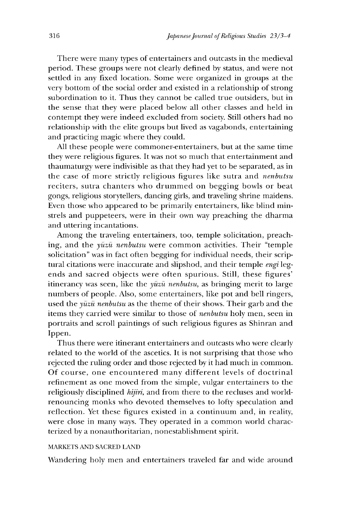There were many types of entertainers and outcasts in the medieval period. These groups were not clearly defined by status, and were not settled in any fixed location. Some were organized in groups at the very bottom of the social order and existed in a relationship of strong subordination to it. Thus they cannot be called true outsiders, but in the sense that they were placed below all other classes and held in contempt they were indeed excluded from society. Still others had no relationship with the elite groups but lived as vagabonds, entertaining and practicing magic where they could.

All these people were commoner-entertainers, but at the same time they were religious figures. It was not so much that entertainment and thaumaturgy were indivisible as that they had yet to be separated, as in the case of more strictly religious figures like sutra and *nenbutsu* reciters, sutra chanters who drummed on begging bowls or beat gongs, religious storytellers, dancing girls, and traveling shrine maidens. Even those who appeared to be primarily entertainers, like blind minstrels and puppeteers, were in their own way preaching the dharma and uttering incantations.

Among the traveling entertainers, too, temple solicitation, preaching, and the *yuzu nenbutsu* were common activities. Their "temple solicitation" was in fact often begging for individual needs, their scriptural citations were inaccurate and slipshod, and their temple *engi* legends and sacred objects were often spurious. Still, these figures itinerancy was seen, like the  $y\bar{u}z\bar{u}$  *nenbutsu*, as bringing merit to large numbers of people. Also, some entertainers, like pot and bell ringers, used the *yuzu nenbutsu* as the theme of their shows. Their garb and the items they carried were similar to those of *nenbutsu* holy men, seen in portraits and scroll paintings of such religious figures as Shinran and Ippen.

Thus there were itinerant entertainers and outcasts who were clearly related to the world of the ascetics. It is not surprising that those who rejected the ruling order and those rejected by it had much in common. Of course, one encountered many different levels of doctrinal refinement as one moved from the simple, vulgar entertainers to the religiously disciplined *hijiri,* and from there to the recluses and worldrenouncing monks who devoted themselves to lofty speculation and reflection. Yet these figures existed in a continuum and, in reality, were close in many ways. They operated in a common world characterized by a nonauthoritarian, nonestablishment spirit.

### MARKETS AND SACRED LAND

Wandering holy men and entertainers traveled far and wide around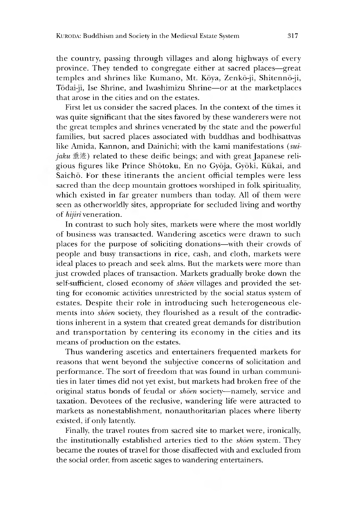the country, passing through villages and along highways of every province. They tended to congregate either at sacred places—great temples and shrines like Kumano, Mt. Kōya, Zenkō-ji, Shitennō-ji, Todai-ji, Ise Shrine, and Iwashimizu Shrine—or at the marketplaces that arose in the cities and on the estates.

First let us consider the sacred places. In the context of the times it was quite significant that the sites favored by these wanderers were not the great temples and shrines venerated by the state and the powerful families, but sacred places associated with buddhas and bodhisattvas like Amida, Kannon, and Dainichi; with the kami manifestations *{suijaku* 垂迹) related to these deific beings; and with great Japanese religious figures like Prince Shotoku, En no Gyoja, Gyoki, Kukai, and Saichō. For these itinerants the ancient official temples were less sacred than the deep mountain grottoes worshiped in folk spirituality, which existed in far greater numbers than today. All of them were seen as otherworldly sites, appropriate for secluded living and worthy of *hijiri* veneration.

In contrast to such holy sites, markets were where the most worldly of business was transacted. Wandering ascetics were drawn to such places for the purpose of soliciting donations—with their crowds of people and busy transactions in rice, cash, and cloth, markets were ideal places to preach and seek alms. But the markets were more than just crowded places of transaction. Markets gradually broke down the self-sufficient, closed economy of *shoen* villages and provided the setting for economic activities unrestricted by the social status system of estates. Despite their role in introducing such heterogeneous elements into *shoen* society, they flourished as a result of the contradictions inherent in a system that created great demands for distribution and transportation by centering its economy in the cities and its means of production on the estates.

Thus wandering ascetics and entertainers frequented markets for reasons that went beyond the subjective concerns of solicitation and performance. Ihe sort of freedom that was found in urban communities in later times did not yet exist, but markets had broken free of the original status bonds of feudal or *shoen* society-namely, service and taxation. Devotees of the reclusive, wandering life were attracted to markets as nonestablishment, nonauthoritarian places where liberty existed, if only latently.

Finally, the travel routes from sacred site to market were, ironically, the institutionally established arteries tied to the *shoen* system. They became the routes of travel for those disaffected with and excluded from the social order, from ascetic sages to wandering entertainers.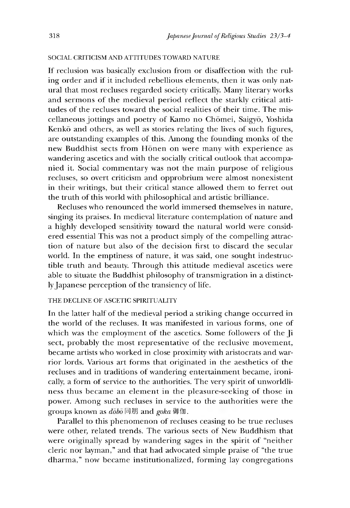### SOCIAL CRITICISM AND ATTITUDES TOWARD NATURE

If reclusion was basically exclusion from or disaffection with the ruling order and if it included rebellious elements, then it was only natural that most recluses regarded society critically. Many literary works and sermons of the medieval period reflect the starkly critical attitudes of the recluses toward the social realities of their time. The miscellaneous jottings and poetry of Kamo no Chomei, Saigyo, Yoshida Kenko and others, as well as stories relating the lives of such figures, are outstanding examples of this. Among the founding monks of the new Buddhist sects from Honen on were many with experience as wandering ascetics and with the socially critical outlook that accompanied it. Social commentary was not the main purpose of religious recluses, so overt criticism and opprobrium were almost nonexistent in their writings, but their critical stance allowed them to ferret out the truth of this world with philosophical and artistic brilliance.

Recluses who renounced the world immersed themselves in nature, singing its praises. In medieval literature contemplation of nature and a highly developed sensitivity toward the natural world were considered essential This was not a product simply of the compelling attraction of nature but also of the decision first to discard the secular world. In the emptiness of nature, it was said, one sought indestructible truth and beauty. Through this attitude medieval ascetics were able to situate the Buddhist philosophy of transmigration in a distinctly Japanese perception of the transiency of life.

# THE DECLINE OF ASCETIC SPIRITUALITY

In the latter half of the medieval period a striking change occurred in the world of the recluses. It was manifested in various forms, one of which was the employment of the ascetics. Some followers of the Ji sect, probably the most representative of the reclusive movement, became artists who worked in close proximity with aristocrats and warrior lords. Various art forms that originated in the aesthetics of the recluses and in traditions of wandering entertainment became, ironically, a form of service to the authorities. The very spirit of unworldliness thus became an element in the pleasure-seeking of those in power. Among such recluses in service to the authorities were the groups known as *dobo* 同朋 and *goka* 御伽.

Parallel to this phenomenon of recluses ceasing to be true recluses were other, related trends. The various sects of New Buddhism that were originally spread by wandering sages in the spirit of "neither cleric nor layman," and that had advocated simple praise of "the true dharma," now became institutionalized, forming lay congregations